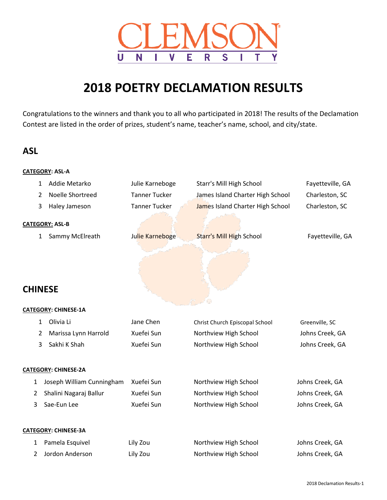

# **POETRY DECLAMATION RESULTS**

Congratulations to the winners and thank you to all who participated in 2018! The results of the Declamation Contest are listed in the order of prizes, student's name, teacher's name, school, and city/state.

# **ASL**

|                | <b>CATEGORY: ASL-A</b>         |                      |                                  |                  |
|----------------|--------------------------------|----------------------|----------------------------------|------------------|
|                | Addie Metarko<br>$\mathbf 1$   | Julie Karneboge      | Starr's Mill High School         | Fayetteville, GA |
| 2              | Noelle Shortreed               | <b>Tanner Tucker</b> | James Island Charter High School | Charleston, SC   |
| 3              | Haley Jameson                  | <b>Tanner Tucker</b> | James Island Charter High School | Charleston, SC   |
|                | <b>CATEGORY: ASL-B</b>         |                      |                                  |                  |
|                | Sammy McElreath<br>$\mathbf 1$ | Julie Karneboge      | <b>Starr's Mill High School</b>  | Fayetteville, GA |
|                |                                |                      |                                  |                  |
| <b>CHINESE</b> |                                |                      |                                  |                  |
|                | <b>CATEGORY: CHINESE-1A</b>    |                      |                                  |                  |
|                | Olivia Li<br>$\mathbf{1}$      | Jane Chen            | Christ Church Episcopal School   | Greenville, SC   |
| 2              | Marissa Lynn Harrold           | Xuefei Sun           | Northview High School            | Johns Creek, GA  |
| 3              | Sakhi K Shah                   | Xuefei Sun           | Northview High School            | Johns Creek, GA  |
|                | <b>CATEGORY: CHINESE-2A</b>    |                      |                                  |                  |
| 1              | Joseph William Cunningham      | Xuefei Sun           | Northview High School            | Johns Creek, GA  |
| 2              | Shalini Nagaraj Ballur         | Xuefei Sun           | Northview High School            | Johns Creek, GA  |
| 3              | Sae-Eun Lee                    | Xuefei Sun           | Northview High School            | Johns Creek, GA  |
|                | <b>CATEGORY: CHINESE-3A</b>    |                      |                                  |                  |
| 1              | Pamela Esquivel                | Lily Zou             | Northview High School            | Johns Creek, GA  |
| 2              | Jordon Anderson                | Lily Zou             | Northview High School            | Johns Creek, GA  |
|                |                                |                      |                                  |                  |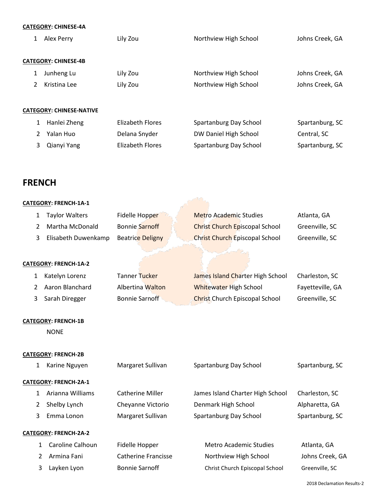| <b>CATEGORY: CHINESE-4A</b> |  |
|-----------------------------|--|
|-----------------------------|--|

| 1                               |                             | Alex Perry   | Lily Zou                | Northview High School  | Johns Creek, GA |  |  |  |
|---------------------------------|-----------------------------|--------------|-------------------------|------------------------|-----------------|--|--|--|
|                                 | <b>CATEGORY: CHINESE-4B</b> |              |                         |                        |                 |  |  |  |
| 1                               |                             | Junheng Lu   | Lily Zou                | Northview High School  | Johns Creek, GA |  |  |  |
| 2                               |                             | Kristina Lee | Lily Zou                | Northview High School  | Johns Creek, GA |  |  |  |
|                                 |                             |              |                         |                        |                 |  |  |  |
| <b>CATEGORY: CHINESE-NATIVE</b> |                             |              |                         |                        |                 |  |  |  |
|                                 | 1                           | Hanlei Zheng | <b>Flizabeth Flores</b> | Spartanburg Day School | Spartanburg, SC |  |  |  |
|                                 | 2                           | Yalan Huo    | Delana Snyder           | DW Daniel High School  | Central, SC     |  |  |  |
|                                 | 3                           | Qianyi Yang  | Elizabeth Flores        | Spartanburg Day School | Spartanburg, SC |  |  |  |
|                                 |                             |              |                         |                        |                 |  |  |  |

# **FRENCH**

| CATEGORY: FRENCH-1A-1 |                                           |                            |                                       |                  |
|-----------------------|-------------------------------------------|----------------------------|---------------------------------------|------------------|
| $\mathbf{1}$          | <b>Taylor Walters</b>                     | Fidelle Hopper             | <b>Metro Academic Studies</b>         | Atlanta, GA      |
| 2                     | Martha McDonald                           | <b>Bonnie Sarnoff</b>      | <b>Christ Church Episcopal School</b> | Greenville, SC   |
| 3                     | Elisabeth Duwenkamp                       | <b>Beatrice Deligny</b>    | <b>Christ Church Episcopal School</b> | Greenville, SC   |
|                       | CATEGORY: FRENCH-1A-2                     |                            |                                       |                  |
| $\mathbf{1}$          | Katelyn Lorenz                            | <b>Tanner Tucker</b>       | James Island Charter High School      | Charleston, SC   |
| 2                     | Aaron Blanchard                           | Albertina Walton           | <b>Whitewater High School</b>         | Fayetteville, GA |
| 3                     | Sarah Diregger                            | <b>Bonnie Sarnoff</b>      | Christ Church Episcopal School        | Greenville, SC   |
|                       | <b>CATEGORY: FRENCH-1B</b><br><b>NONE</b> |                            |                                       |                  |
|                       | <b>CATEGORY: FRENCH-2B</b>                |                            |                                       |                  |
| $\mathbf{1}$          | Karine Nguyen                             | Margaret Sullivan          | Spartanburg Day School                | Spartanburg, SC  |
|                       | CATEGORY: FRENCH-2A-1                     |                            |                                       |                  |
| $\mathbf{1}$          | Arianna Williams                          | <b>Catherine Miller</b>    | James Island Charter High School      | Charleston, SC   |
| 2                     | Shelby Lynch                              | Cheyanne Victorio          | Denmark High School                   | Alpharetta, GA   |
| 3                     | Emma Lonon                                | Margaret Sullivan          | Spartanburg Day School                | Spartanburg, SC  |
|                       | CATEGORY: FRENCH-2A-2                     |                            |                                       |                  |
| $\mathbf{1}$          | Caroline Calhoun                          | Fidelle Hopper             | Metro Academic Studies                | Atlanta, GA      |
| 2                     | Armina Fani                               | <b>Catherine Francisse</b> | Northview High School                 | Johns Creek, GA  |
| 3                     | Layken Lyon                               | <b>Bonnie Sarnoff</b>      | Christ Church Episcopal School        | Greenville, SC   |
|                       |                                           |                            |                                       |                  |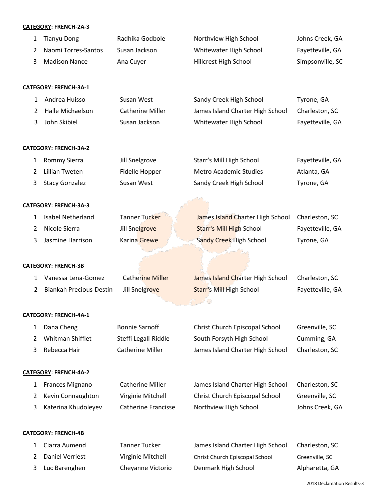#### **CATEGORY: FRENCH-2A-3**

|   | <b>CATEGORY: FRENCH-2A-3</b> |                         |                                         |                  |
|---|------------------------------|-------------------------|-----------------------------------------|------------------|
| 1 | <b>Tianyu Dong</b>           | Radhika Godbole         | Northview High School                   | Johns Creek, GA  |
| 2 | Naomi Torres-Santos          | Susan Jackson           | Whitewater High School                  | Fayetteville, GA |
| 3 | <b>Madison Nance</b>         | Ana Cuyer               | Hillcrest High School                   | Simpsonville, SC |
|   |                              |                         |                                         |                  |
|   | CATEGORY: FRENCH-3A-1        |                         |                                         |                  |
| 1 | Andrea Huisso                | Susan West              | Sandy Creek High School                 | Tyrone, GA       |
| 2 | Halle Michaelson             | <b>Catherine Miller</b> | James Island Charter High School        | Charleston, SC   |
| 3 | John Skibiel                 | Susan Jackson           | Whitewater High School                  | Fayetteville, GA |
|   |                              |                         |                                         |                  |
|   | <b>CATEGORY: FRENCH-3A-2</b> |                         |                                         |                  |
| 1 | <b>Rommy Sierra</b>          | Jill Snelgrove          | Starr's Mill High School                | Fayetteville, GA |
| 2 | <b>Lillian Tweten</b>        | Fidelle Hopper          | <b>Metro Academic Studies</b>           | Atlanta, GA      |
| 3 | <b>Stacy Gonzalez</b>        | Susan West              | Sandy Creek High School                 | Tyrone, GA       |
|   |                              |                         |                                         |                  |
|   | <b>CATEGORY: FRENCH-3A-3</b> |                         |                                         |                  |
| 1 | Isabel Netherland            | <b>Tanner Tucker</b>    | James Island Charter High School        | Charleston, SC   |
| 2 | Nicole Sierra                | Jill Snelgrove          | <b>Starr's Mill High School</b>         | Fayetteville, GA |
| 3 | Jasmine Harrison             | Karina Grewe            | Sandy Creek High School                 | Tyrone, GA       |
|   |                              |                         |                                         |                  |
|   | <b>CATEGORY: FRENCH-3B</b>   |                         |                                         |                  |
| 1 | Vanessa Lena-Gomez           | <b>Catherine Miller</b> | <b>James Island Charter High School</b> | Charleston, SC   |
| 2 | Biankah Precious-Destin      | Jill Snelgrove          | <b>Starr's Mill High School</b>         | Fayetteville, GA |
|   |                              |                         | فهالمستسلم والمحال                      |                  |
|   | CATEGORY: FRENCH-4A-1        |                         |                                         |                  |
| 1 | Dana Cheng                   | <b>Bonnie Sarnoff</b>   | Christ Church Episcopal School          | Greenville, SC   |
| 2 | Whitman Shifflet             | Steffi Legall-Riddle    | South Forsyth High School               | Cumming, GA      |
| 3 | Rebecca Hair                 | <b>Catherine Miller</b> | James Island Charter High School        | Charleston, SC   |

### **CATEGORY: FRENCH-4A-2**

| 1 Frances Mignano   | <b>Catherine Miller</b> | James Island Charter High School | Charleston, SC  |
|---------------------|-------------------------|----------------------------------|-----------------|
| 2 Kevin Connaughton | Virginie Mitchell       | Christ Church Episcopal School   | Greenville, SC  |
| Katerina Khudoleyev | Catherine Francisse     | Northview High School            | Johns Creek, GA |

### **CATEGORY: FRENCH-4B**

| 1 Ciarra Aumend | Tanner Tucker     | James Island Charter High School | Charleston, SC |
|-----------------|-------------------|----------------------------------|----------------|
| Daniel Verriest | Virginie Mitchell | Christ Church Episcopal School   | Greenville, SC |
| Luc Barenghen   | Cheyanne Victorio | Denmark High School              | Alpharetta, GA |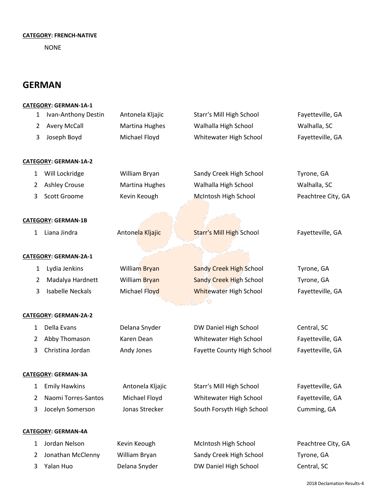#### **CATEGORY: FRENCH-NATIVE**

NONE

# **GERMAN**

#### **CATEGORY: GERMAN-1A-1**

| 1            | Ivan-Anthony Destin          | Antonela Kljajic      | Starr's Mill High School        | Fayetteville, GA   |
|--------------|------------------------------|-----------------------|---------------------------------|--------------------|
| 2            | <b>Avery McCall</b>          | Martina Hughes        | Walhalla High School            | Walhalla, SC       |
| 3            | Joseph Boyd                  | Michael Floyd         | Whitewater High School          | Fayetteville, GA   |
|              | <b>CATEGORY: GERMAN-1A-2</b> |                       |                                 |                    |
| 1            | Will Lockridge               | William Bryan         | Sandy Creek High School         | Tyrone, GA         |
| 2            | <b>Ashley Crouse</b>         | <b>Martina Hughes</b> | Walhalla High School            | Walhalla, SC       |
| 3            | <b>Scott Groome</b>          | Kevin Keough          | <b>McIntosh High School</b>     | Peachtree City, GA |
|              | <b>CATEGORY: GERMAN-1B</b>   |                       |                                 |                    |
| 1            | Liana Jindra                 | Antonela Kljajic      | <b>Starr's Mill High School</b> | Fayetteville, GA   |
|              |                              |                       |                                 |                    |
|              | <b>CATEGORY: GERMAN-2A-1</b> |                       |                                 |                    |
| 1            | Lydia Jenkins                | William Bryan         | <b>Sandy Creek High School</b>  | Tyrone, GA         |
| 2            | Madalya Hardnett             | William Bryan         | <b>Sandy Creek High School</b>  | Tyrone, GA         |
| 3            | <b>Isabelle Neckals</b>      | Michael Floyd         | <b>Whitewater High School</b>   | Fayetteville, GA   |
|              |                              |                       |                                 |                    |
|              | <b>CATEGORY: GERMAN-2A-2</b> |                       |                                 |                    |
| $\mathbf{1}$ | Della Evans                  | Delana Snyder         | DW Daniel High School           | Central, SC        |
| 2            | Abby Thomason                | Karen Dean            | Whitewater High School          | Fayetteville, GA   |
| 3            | Christina Jordan             | Andy Jones            | Fayette County High School      | Fayetteville, GA   |
|              | <b>CATEGORY: GERMAN-3A</b>   |                       |                                 |                    |
| $\mathbf{1}$ | <b>Emily Hawkins</b>         | Antonela Kljajic      | Starr's Mill High School        | Fayetteville, GA   |
| 2            | Naomi Torres-Santos          | Michael Floyd         | Whitewater High School          | Fayetteville, GA   |
| 3            | Jocelyn Somerson             | Jonas Strecker        | South Forsyth High School       | Cumming, GA        |
|              | <b>CATEGORY: GERMAN-4A</b>   |                       |                                 |                    |
| 1            | Jordan Nelson                | Kevin Keough          | McIntosh High School            | Peachtree City, GA |
| 2            | Jonathan McClenny            | William Bryan         | Sandy Creek High School         | Tyrone, GA         |
| 3            | Yalan Huo                    | Delana Snyder         | DW Daniel High School           | Central, SC        |
|              |                              |                       |                                 |                    |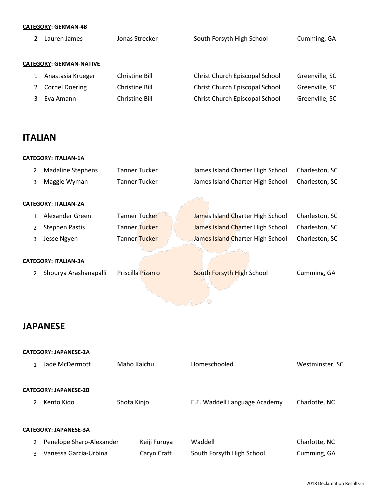|--|

| Lauren James                   | Jonas Strecker | South Forsyth High School      | Cumming, GA    |
|--------------------------------|----------------|--------------------------------|----------------|
|                                |                |                                |                |
| <b>CATEGORY: GERMAN-NATIVE</b> |                |                                |                |
| Anastasia Krueger              | Christine Bill | Christ Church Episcopal School | Greenville, SC |
| <b>Cornel Doering</b>          | Christine Bill | Christ Church Episcopal School | Greenville, SC |
| Eva Amann                      | Christine Bill | Christ Church Episcopal School | Greenville, SC |
|                                |                |                                |                |

# **ITALIAN**

|   | <b>CATEGORY: ITALIAN-1A</b> |                      |                                  |                |  |  |
|---|-----------------------------|----------------------|----------------------------------|----------------|--|--|
| 2 | <b>Madaline Stephens</b>    | Tanner Tucker        | James Island Charter High School | Charleston, SC |  |  |
| 3 | Maggie Wyman                | <b>Tanner Tucker</b> | James Island Charter High School | Charleston, SC |  |  |
|   | <b>CATEGORY: ITALIAN-2A</b> |                      |                                  |                |  |  |
|   | Alexander Green             | Tanner Tucker        | James Island Charter High School | Charleston, SC |  |  |
| 2 | <b>Stephen Pastis</b>       | Tanner Tucker        | James Island Charter High School | Charleston, SC |  |  |
| 3 | Jesse Ngyen                 | <b>Tanner Tucker</b> | James Island Charter High School | Charleston, SC |  |  |
|   | <b>CATEGORY: ITALIAN-3A</b> |                      |                                  |                |  |  |
|   | Shourya Arashanapalli       | Priscilla Pizarro    | South Forsyth High School        | Cumming, GA    |  |  |
|   |                             |                      |                                  |                |  |  |

# **JAPANESE**

|               | <b>CATEGORY: JAPANESE-2A</b> |              |                               |                 |
|---------------|------------------------------|--------------|-------------------------------|-----------------|
| 1             | Jade McDermott               | Maho Kaichu  | Homeschooled                  | Westminster, SC |
|               |                              |              |                               |                 |
|               | <b>CATEGORY: JAPANESE-2B</b> |              |                               |                 |
| $\mathcal{P}$ | Kento Kido                   | Shota Kinjo  | E.E. Waddell Language Academy | Charlotte, NC   |
|               |                              |              |                               |                 |
|               | <b>CATEGORY: JAPANESE-3A</b> |              |                               |                 |
| 2             | Penelope Sharp-Alexander     | Keiji Furuya | Waddell                       | Charlotte, NC   |
| 3             | Vanessa Garcia-Urbina        | Caryn Craft  | South Forsyth High School     | Cumming, GA     |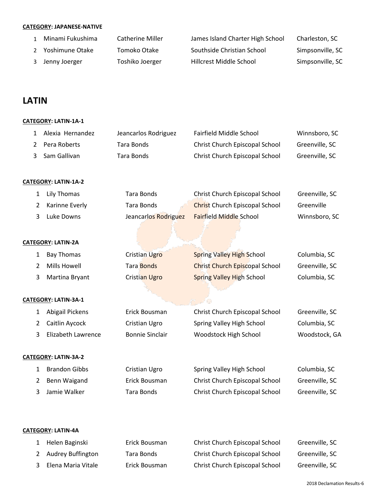### **CATEGORY: JAPANESE-NATIVE**

| Minami Fukushima  | <b>Catherine Miller</b> | James Island Charter High School | Charleston, SC   |
|-------------------|-------------------------|----------------------------------|------------------|
| 2 Yoshimune Otake | Tomoko Otake            | Southside Christian School       | Simpsonville, SC |
| Jenny Joerger     | Toshiko Joerger         | Hillcrest Middle School          | Simpsonville, SC |

# **LATIN**

### **CATEGORY: LATIN-1A-1**

| 1              | Alexia Hernandez          | Jeancarlos Rodriguez   | Fairfield Middle School               | Winnsboro, SC  |
|----------------|---------------------------|------------------------|---------------------------------------|----------------|
| 2              | Pera Roberts              | <b>Tara Bonds</b>      | Christ Church Episcopal School        | Greenville, SC |
| 3              | Sam Gallivan              | Tara Bonds             | Christ Church Episcopal School        | Greenville, SC |
|                |                           |                        |                                       |                |
|                | CATEGORY: LATIN-1A-2      |                        |                                       |                |
| 1              | <b>Lily Thomas</b>        | <b>Tara Bonds</b>      | Christ Church Episcopal School        | Greenville, SC |
| 2              | Karinne Everly            | <b>Tara Bonds</b>      | <b>Christ Church Episcopal School</b> | Greenville     |
| 3              | Luke Downs                | Jeancarlos Rodriguez   | Fairfield Middle School               | Winnsboro, SC  |
|                |                           |                        |                                       |                |
|                | <b>CATEGORY: LATIN-2A</b> |                        |                                       |                |
| 1              | <b>Bay Thomas</b>         | <b>Cristian Ugro</b>   | <b>Spring Valley High School</b>      | Columbia, SC   |
| $\overline{2}$ | Mills Howell              | <b>Tara Bonds</b>      | <b>Christ Church Episcopal School</b> | Greenville, SC |
| 3              | Martina Bryant            | Cristian Ugro          | <b>Spring Valley High School</b>      | Columbia, SC   |
|                |                           |                        |                                       |                |
|                | CATEGORY: LATIN-3A-1      |                        |                                       |                |
| 1              | Abigail Pickens           | Erick Bousman          | Christ Church Episcopal School        | Greenville, SC |
| $\overline{2}$ | Caitlin Aycock            | Cristian Ugro          | Spring Valley High School             | Columbia, SC   |
| 3              | Elizabeth Lawrence        | <b>Bonnie Sinclair</b> | Woodstock High School                 | Woodstock, GA  |
|                |                           |                        |                                       |                |
|                | CATEGORY: LATIN-3A-2      |                        |                                       |                |
| 1              | <b>Brandon Gibbs</b>      | Cristian Ugro          | Spring Valley High School             | Columbia, SC   |
| $\overline{2}$ | <b>Benn Waigand</b>       | Erick Bousman          | Christ Church Episcopal School        | Greenville, SC |
| 3              | Jamie Walker              | <b>Tara Bonds</b>      | Christ Church Episcopal School        | Greenville, SC |
|                |                           |                        |                                       |                |
|                |                           |                        |                                       |                |
|                | CATEGORY: LATIN-4A        |                        |                                       |                |

| 1 Helen Baginski     | Erick Bousman | Christ Church Episcopal School | Greenville, SC |
|----------------------|---------------|--------------------------------|----------------|
| 2 Audrey Buffington  | Tara Bonds    | Christ Church Episcopal School | Greenville, SC |
| 3 Elena Maria Vitale | Erick Bousman | Christ Church Episcopal School | Greenville, SC |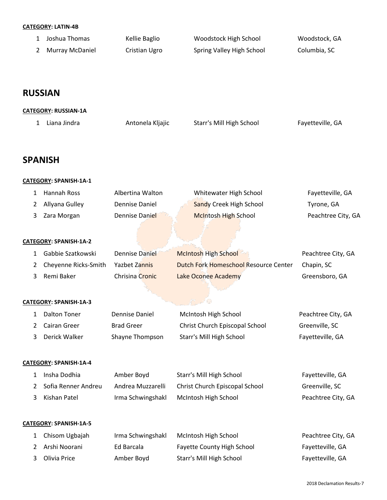#### **CATEGORY: LATIN-4B**

| Joshua Thomas   | Kellie Baglio | Woodstock High School     | Woodstock, GA |
|-----------------|---------------|---------------------------|---------------|
| Murray McDaniel | Cristian Ugro | Spring Valley High School | Columbia, SC  |

# **RUSSIAN**

### **CATEGORY: RUSSIAN-1A**

|  | 1 Liana Jindra | Antonela Kljajic | Starr's Mill High School | Fayetteville, GA |
|--|----------------|------------------|--------------------------|------------------|
|--|----------------|------------------|--------------------------|------------------|

### **SPANISH**

#### **CATEGORY: SPANISH-1A-1**

| 1            | Hannah Ross            | Albertina Walton      | Whitewater High School                | Fayetteville, GA   |  |  |  |  |
|--------------|------------------------|-----------------------|---------------------------------------|--------------------|--|--|--|--|
| 2            | Allyana Gulley         | <b>Dennise Daniel</b> | <b>Sandy Creek High School</b>        | Tyrone, GA         |  |  |  |  |
| 3            | Zara Morgan            | Dennise Daniel        | <b>McIntosh High School</b>           | Peachtree City, GA |  |  |  |  |
|              | CATEGORY: SPANISH-1A-2 |                       |                                       |                    |  |  |  |  |
| 1            | Gabbie Szatkowski      | Dennise Daniel        | McIntosh High School                  | Peachtree City, GA |  |  |  |  |
| 2            | Cheyenne Ricks-Smith   | <b>Yazbet Zannis</b>  | Dutch Fork Homeschool Resource Center | Chapin, SC         |  |  |  |  |
| 3            | Remi Baker             | Chrisina Cronic       | Lake Oconee Academy                   | Greensboro, GA     |  |  |  |  |
|              |                        |                       |                                       |                    |  |  |  |  |
|              | CATEGORY: SPANISH-1A-3 |                       |                                       |                    |  |  |  |  |
| 1            | <b>Dalton Toner</b>    | <b>Dennise Daniel</b> | McIntosh High School                  | Peachtree City, GA |  |  |  |  |
| 2            | <b>Cairan Greer</b>    | <b>Brad Greer</b>     | Christ Church Episcopal School        | Greenville, SC     |  |  |  |  |
| 3            | Derick Walker          | Shayne Thompson       | <b>Starr's Mill High School</b>       | Fayetteville, GA   |  |  |  |  |
|              | CATEGORY: SPANISH-1A-4 |                       |                                       |                    |  |  |  |  |
| 1            | Insha Dodhia           | Amber Boyd            | Starr's Mill High School              | Fayetteville, GA   |  |  |  |  |
| 2            | Sofia Renner Andreu    | Andrea Muzzarelli     | Christ Church Episcopal School        | Greenville, SC     |  |  |  |  |
| 3            | Kishan Patel           | Irma Schwingshakl     | McIntosh High School                  | Peachtree City, GA |  |  |  |  |
|              | CATEGORY: SPANISH-1A-5 |                       |                                       |                    |  |  |  |  |
| $\mathbf{1}$ | Chisom Ugbajah         | Irma Schwingshakl     | McIntosh High School                  | Peachtree City, GA |  |  |  |  |
| 2            | Arshi Noorani          | Ed Barcala            | Fayette County High School            | Fayetteville, GA   |  |  |  |  |
| 3            | Olivia Price           | Amber Boyd            | Starr's Mill High School              | Fayetteville, GA   |  |  |  |  |
|              |                        |                       |                                       |                    |  |  |  |  |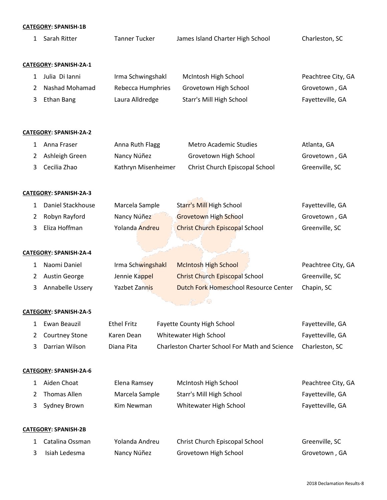#### **CATEGORY: SPANISH-1B**

|              | <b>CATEGORY: SPANISH-1B</b>   |                      |                                              |                    |  |  |  |
|--------------|-------------------------------|----------------------|----------------------------------------------|--------------------|--|--|--|
| $\mathbf{1}$ | Sarah Ritter                  | <b>Tanner Tucker</b> | James Island Charter High School             | Charleston, SC     |  |  |  |
|              |                               |                      |                                              |                    |  |  |  |
|              | CATEGORY: SPANISH-2A-1        |                      |                                              |                    |  |  |  |
| 1            | Julia Di Ianni                | Irma Schwingshakl    | McIntosh High School                         | Peachtree City, GA |  |  |  |
| 2            | <b>Nashad Mohamad</b>         | Rebecca Humphries    | Grovetown High School                        | Grovetown, GA      |  |  |  |
| 3            | <b>Ethan Bang</b>             | Laura Alldredge      | Starr's Mill High School                     | Fayetteville, GA   |  |  |  |
|              |                               |                      |                                              |                    |  |  |  |
|              | <b>CATEGORY: SPANISH-2A-2</b> |                      |                                              |                    |  |  |  |
| 1            | Anna Fraser                   | Anna Ruth Flagg      | Metro Academic Studies                       | Atlanta, GA        |  |  |  |
| 2            | Ashleigh Green                | Nancy Núñez          | Grovetown High School                        | Grovetown, GA      |  |  |  |
| 3            | Cecilia Zhao                  | Kathryn Misenheimer  | Christ Church Episcopal School               | Greenville, SC     |  |  |  |
|              | CATEGORY: SPANISH-2A-3        |                      |                                              |                    |  |  |  |
|              |                               |                      |                                              |                    |  |  |  |
| 1            | Daniel Stackhouse             | Marcela Sample       | Starr's Mill High School                     | Fayetteville, GA   |  |  |  |
| 2            | Robyn Rayford                 | Nancy Núñez          | <b>Grovetown High School</b>                 | Grovetown, GA      |  |  |  |
| 3            | Eliza Hoffman                 | Yolanda Andreu       | <b>Christ Church Episcopal School</b>        | Greenville, SC     |  |  |  |
|              | CATEGORY: SPANISH-2A-4        |                      |                                              |                    |  |  |  |
| 1            | Naomi Daniel                  | Irma Schwingshakl    | <b>McIntosh High School</b>                  | Peachtree City, GA |  |  |  |
| 2            | Austin George                 | Jennie Kappel        | <b>Christ Church Episcopal School</b>        | Greenville, SC     |  |  |  |
| 3            | Annabelle Ussery              | <b>Yazbet Zannis</b> | <b>Dutch Fork Homeschool Resource Center</b> | Chapin, SC         |  |  |  |
|              |                               |                      |                                              |                    |  |  |  |

#### **CATEGORY: SPANISH-2A-5**

| .     Ewan Beauzil | Ethel Fritz | <b>Fayette County High School</b>              | Fayetteville, GA |
|--------------------|-------------|------------------------------------------------|------------------|
| 2 Courtney Stone   | Karen Dean  | Whitewater High School                         | Fayetteville, GA |
| 3 Darrian Wilson   | Diana Pita  | Charleston Charter School For Math and Science | Charleston. SC   |

### **CATEGORY: SPANISH-2A-6**

| Aiden Choat    | Elena Ramsey   | McIntosh High School     | Peachtree City, GA |
|----------------|----------------|--------------------------|--------------------|
| Thomas Allen   | Marcela Sample | Starr's Mill High School | Fayetteville, GA   |
| 3 Sydney Brown | Kim Newman     | Whitewater High School   | Fayetteville, GA   |
|                |                |                          |                    |

#### **CATEGORY: SPANISH-2B**

| 1 Catalina Ossman | Yolanda Andreu | Christ Church Episcopal School | Greenville, SC |
|-------------------|----------------|--------------------------------|----------------|
| 3 Isiah Ledesma   | Nancy Núñez    | Grovetown High School          | Grovetown , GA |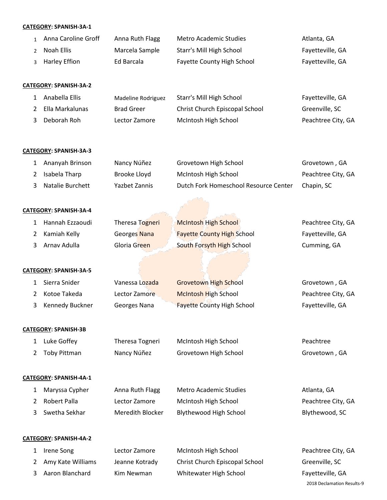#### **CATEGORY: SPANISH-3A-1**

| Anna Caroline Groff | Anna Ruth Flagg | Metro Academic Studies            | Atlanta, GA      |
|---------------------|-----------------|-----------------------------------|------------------|
| 2 Noah Ellis        | Marcela Sample  | Starr's Mill High School          | Fayetteville, GA |
| 3 Harley Effion     | Ed Barcala      | <b>Fayette County High School</b> | Fayetteville, GA |

#### **CATEGORY: SPANISH-3A-2**

| 1 Anabella Ellis  | Madeline Rodriguez | Starr's Mill High School       | Fayetteville, GA   |
|-------------------|--------------------|--------------------------------|--------------------|
| 2 Ella Markalunas | <b>Brad Greer</b>  | Christ Church Episcopal School | Greenville, SC     |
| Deborah Roh       | Lector Zamore      | McIntosh High School           | Peachtree City, GA |

#### **CATEGORY: SPANISH-3A-3**

| Ananyah Brinson    | Nancy Núñez   | Grovetown High School                 | Grovetown, GA      |
|--------------------|---------------|---------------------------------------|--------------------|
| 2 Isabela Tharp    | Brooke Lloyd  | McIntosh High School                  | Peachtree City, GA |
| 3 Natalie Burchett | Yazbet Zannis | Dutch Fork Homeschool Resource Center | Chapin, SC         |

#### **CATEGORY: SPANISH-3A-4**

| Hannah Ezzaoudi | Theresa Togneri | <b>McIntosh High School</b>                                           | Peachtree City, GA |
|-----------------|-----------------|-----------------------------------------------------------------------|--------------------|
| 2 Kamiah Kelly  | Georges Nana    | <b>Fayette County High School</b>                                     | Fayetteville, GA   |
| 3 Arnav Adulla  | Gloria Green    | South Forsyth High School<br>the company of the state of the state of | Cumming, GA        |

#### **CATEGORY: SPANISH-3A-5**

| Sierra Snider     | Vanessa Lozada | <b>Grovetown High School</b>      | Grovetown, GA      |
|-------------------|----------------|-----------------------------------|--------------------|
| Kotoe Takeda      | Lector Zamore  | <b>McIntosh High School</b>       | Peachtree City, GA |
| 3 Kennedy Buckner | Georges Nana   | <b>Fayette County High School</b> | Fayetteville, GA   |

#### **CATEGORY: SPANISH-3B**

| 1 Luke Goffey  | Theresa Togneri | McIntosh High School  | Peachtree     |
|----------------|-----------------|-----------------------|---------------|
| 2 Toby Pittman | Nancy Núñez     | Grovetown High School | Grovetown, GA |

#### **CATEGORY: SPANISH-4A-1**

| 1 Maryssa Cypher | Anna Ruth Flagg  | <b>Metro Academic Studies</b> | Atlanta. GA        |
|------------------|------------------|-------------------------------|--------------------|
| 2 Robert Palla   | Lector Zamore    | McIntosh High School          | Peachtree City, GA |
| 3 Swetha Sekhar  | Meredith Blocker | Blythewood High School        | Blythewood, SC     |

#### **CATEGORY: SPANISH-4A-2**

| 1 Irene Song        | Lector Zamore  | McIntosh High School           |
|---------------------|----------------|--------------------------------|
| 2 Amy Kate Williams | Jeanne Kotrady | Christ Church Episcopal School |
| 3 Aaron Blanchard   | Kim Newman     | Whitewater High School         |

 Declamation Results-9 Peachtree City, GA Greenville, SC Fayetteville, GA